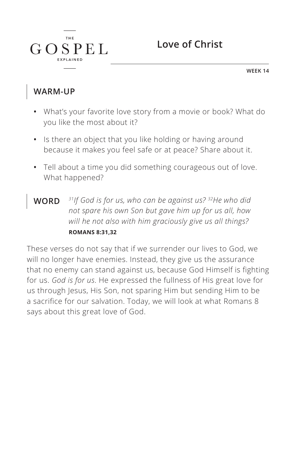

**WEEK 14**

#### **WARM-UP**

 $G$ 

**THE** 

 $SPEL$ 

- **•** What's your favorite love story from a movie or book? What do you like the most about it?
- **•** Is there an object that you like holding or having around because it makes you feel safe or at peace? Share about it.
- **•** Tell about a time you did something courageous out of love. What happened?
- **WORD** *31If God is for us, who can be against us? 32He who did not spare his own Son but gave him up for us all, how will he not also with him graciously give us all things? ^***ROMANS 8:31,32**

These verses do not say that if we surrender our lives to God, we will no longer have enemies. Instead, they give us the assurance that no enemy can stand against us, because God Himself is fighting for us. *God is for us*. He expressed the fullness of His great love for us through Jesus, His Son, not sparing Him but sending Him to be a sacrifice for our salvation. Today, we will look at what Romans 8 says about this great love of God.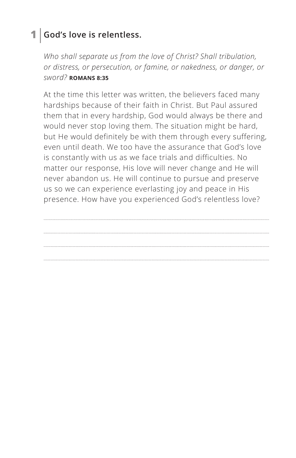### **1 God's love is relentless.**

*Who shall separate us from the love of Christ? Shall tribulation, or distress, or persecution, or famine, or nakedness, or danger, or sword? ^***ROMANS 8:35**

At the time this letter was written, the believers faced many hardships because of their faith in Christ. But Paul assured them that in every hardship, God would always be there and would never stop loving them. The situation might be hard, but He would definitely be with them through every suffering, even until death. We too have the assurance that God's love is constantly with us as we face trials and difficulties. No matter our response, His love will never change and He will never abandon us. He will continue to pursue and preserve us so we can experience everlasting joy and peace in His presence. How have you experienced God's relentless love?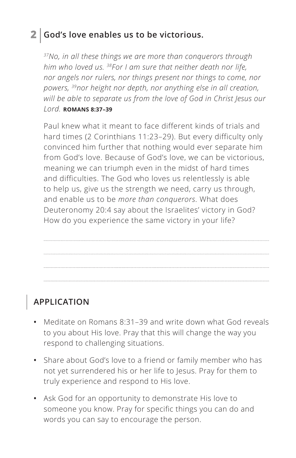### **2 God's love enables us to be victorious.**

*37No, in all these things we are more than conquerors through him who loved us. 38For I am sure that neither death nor life, nor angels nor rulers, nor things present nor things to come, nor powers, 39nor height nor depth, nor anything else in all creation, will be able to separate us from the love of God in Christ Jesus our Lord. ^***ROMANS 8:37–39**

Paul knew what it meant to face different kinds of trials and hard times (2 Corinthians 11:23–29). But every difficulty only convinced him further that nothing would ever separate him from God's love. Because of God's love, we can be victorious, meaning we can triumph even in the midst of hard times and difficulties. The God who loves us relentlessly is able to help us, give us the strength we need, carry us through, and enable us to be *more than conquerors*. What does Deuteronomy 20:4 say about the Israelites' victory in God? How do you experience the same victory in your life?

## **APPLICATION**

- **•** Meditate on Romans 8:31–39 and write down what God reveals to you about His love. Pray that this will change the way you respond to challenging situations.
- **•** Share about God's love to a friend or family member who has not yet surrendered his or her life to Jesus. Pray for them to truly experience and respond to His love.
- **•** Ask God for an opportunity to demonstrate His love to someone you know. Pray for specific things you can do and words you can say to encourage the person.